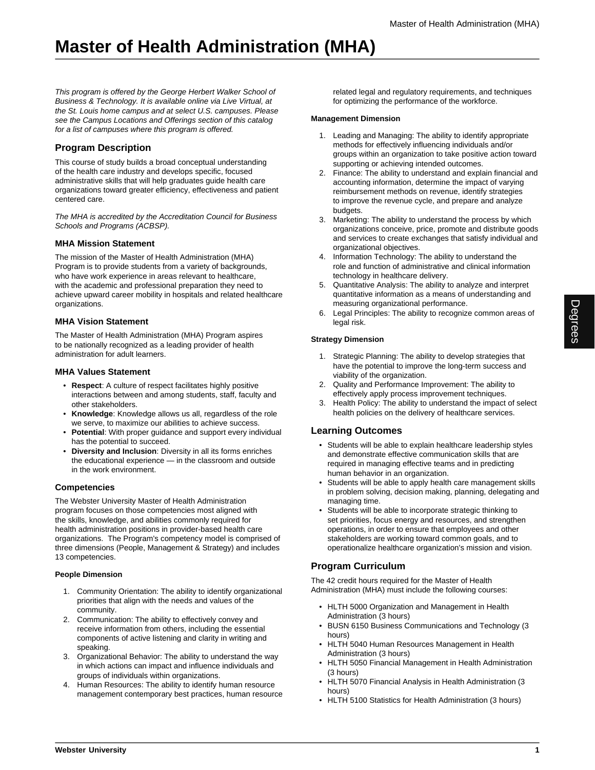## **Master of Health Administration (MHA)**

This program is offered by the George Herbert Walker School of Business & Technology. It is available online via Live Virtual, at the St. Louis home campus and at select U.S. campuses. Please see the Campus Locations and Offerings section of this catalog for a list of campuses where this program is offered.

## **Program Description**

This course of study builds a broad conceptual understanding of the health care industry and develops specific, focused administrative skills that will help graduates guide health care organizations toward greater efficiency, effectiveness and patient centered care.

The MHA is accredited by the Accreditation Council for Business Schools and Programs (ACBSP).

## **MHA Mission Statement**

The mission of the Master of Health Administration (MHA) Program is to provide students from a variety of backgrounds, who have work experience in areas relevant to healthcare, with the academic and professional preparation they need to achieve upward career mobility in hospitals and related healthcare organizations.

### **MHA Vision Statement**

The Master of Health Administration (MHA) Program aspires to be nationally recognized as a leading provider of health administration for adult learners.

### **MHA Values Statement**

- **Respect**: A culture of respect facilitates highly positive interactions between and among students, staff, faculty and other stakeholders.
- **Knowledge**: Knowledge allows us all, regardless of the role we serve, to maximize our abilities to achieve success.
- **Potential**: With proper guidance and support every individual has the potential to succeed.
- **Diversity and Inclusion**: Diversity in all its forms enriches the educational experience — in the classroom and outside in the work environment.

## **Competencies**

The Webster University Master of Health Administration program focuses on those competencies most aligned with the skills, knowledge, and abilities commonly required for health administration positions in provider-based health care organizations. The Program's competency model is comprised of three dimensions (People, Management & Strategy) and includes 13 competencies.

### **People Dimension**

- 1. Community Orientation: The ability to identify organizational priorities that align with the needs and values of the community.
- 2. Communication: The ability to effectively convey and receive information from others, including the essential components of active listening and clarity in writing and speaking.
- 3. Organizational Behavior: The ability to understand the way in which actions can impact and influence individuals and groups of individuals within organizations.
- 4. Human Resources: The ability to identify human resource management contemporary best practices, human resource

related legal and regulatory requirements, and techniques for optimizing the performance of the workforce.

#### **Management Dimension**

- 1. Leading and Managing: The ability to identify appropriate methods for effectively influencing individuals and/or groups within an organization to take positive action toward supporting or achieving intended outcomes.
- 2. Finance: The ability to understand and explain financial and accounting information, determine the impact of varying reimbursement methods on revenue, identify strategies to improve the revenue cycle, and prepare and analyze budgets.
- 3. Marketing: The ability to understand the process by which organizations conceive, price, promote and distribute goods and services to create exchanges that satisfy individual and organizational objectives.
- 4. Information Technology: The ability to understand the role and function of administrative and clinical information technology in healthcare delivery.
- 5. Quantitative Analysis: The ability to analyze and interpret quantitative information as a means of understanding and measuring organizational performance.
- 6. Legal Principles: The ability to recognize common areas of legal risk.

### **Strategy Dimension**

- 1. Strategic Planning: The ability to develop strategies that have the potential to improve the long-term success and viability of the organization.
- 2. Quality and Performance Improvement: The ability to effectively apply process improvement techniques.
- 3. Health Policy: The ability to understand the impact of select health policies on the delivery of healthcare services.

## **Learning Outcomes**

- Students will be able to explain healthcare leadership styles and demonstrate effective communication skills that are required in managing effective teams and in predicting human behavior in an organization.
- Students will be able to apply health care management skills in problem solving, decision making, planning, delegating and managing time.
- Students will be able to incorporate strategic thinking to set priorities, focus energy and resources, and strengthen operations, in order to ensure that employees and other stakeholders are working toward common goals, and to operationalize healthcare organization's mission and vision.

## **Program Curriculum**

The 42 credit hours required for the Master of Health Administration (MHA) must include the following courses:

- HLTH 5000 Organization and Management in Health Administration (3 hours)
- BUSN 6150 Business Communications and Technology (3 hours)
- HLTH 5040 Human Resources Management in Health Administration (3 hours)
- HLTH 5050 Financial Management in Health Administration (3 hours)
- HLTH 5070 Financial Analysis in Health Administration (3 hours)
- HLTH 5100 Statistics for Health Administration (3 hours)